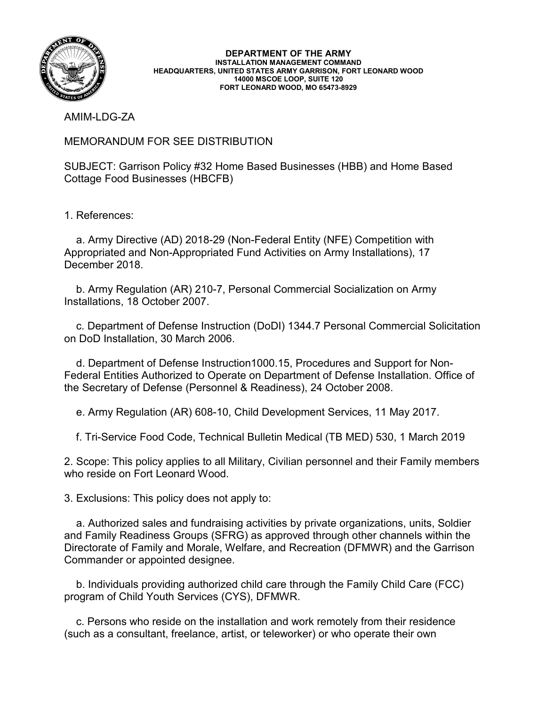

**DEPARTMENT OF THE ARMY INSTALLATION MANAGEMENT COMMAND HEADQUARTERS, UNITED STATES ARMY GARRISON, FORT LEONARD WOOD 14000 MSCOE LOOP, SUITE 120 FORT LEONARD WOOD, MO 65473-8929**

AMIM-LDG-ZA

MEMORANDUM FOR SEE DISTRIBUTION

SUBJECT: Garrison Policy #32 Home Based Businesses (HBB) and Home Based Cottage Food Businesses (HBCFB)

1. References:

 a. Army Directive (AD) 2018-29 (Non-Federal Entity (NFE) Competition with Appropriated and Non-Appropriated Fund Activities on Army Installations), 17 December 2018.

 b. Army Regulation (AR) 210-7, Personal Commercial Socialization on Army Installations, 18 October 2007.

 c. Department of Defense Instruction (DoDI) 1344.7 Personal Commercial Solicitation on DoD Installation, 30 March 2006.

 d. Department of Defense Instruction1000.15, Procedures and Support for Non-Federal Entities Authorized to Operate on Department of Defense Installation. Office of the Secretary of Defense (Personnel & Readiness), 24 October 2008.

e. Army Regulation (AR) 608-10, Child Development Services, 11 May 2017.

f. Tri-Service Food Code, Technical Bulletin Medical (TB MED) 530, 1 March 2019

2. Scope: This policy applies to all Military, Civilian personnel and their Family members who reside on Fort Leonard Wood.

3. Exclusions: This policy does not apply to:

 a. Authorized sales and fundraising activities by private organizations, units, Soldier and Family Readiness Groups (SFRG) as approved through other channels within the Directorate of Family and Morale, Welfare, and Recreation (DFMWR) and the Garrison Commander or appointed designee.

 b. Individuals providing authorized child care through the Family Child Care (FCC) program of Child Youth Services (CYS), DFMWR.

 c. Persons who reside on the installation and work remotely from their residence (such as a consultant, freelance, artist, or teleworker) or who operate their own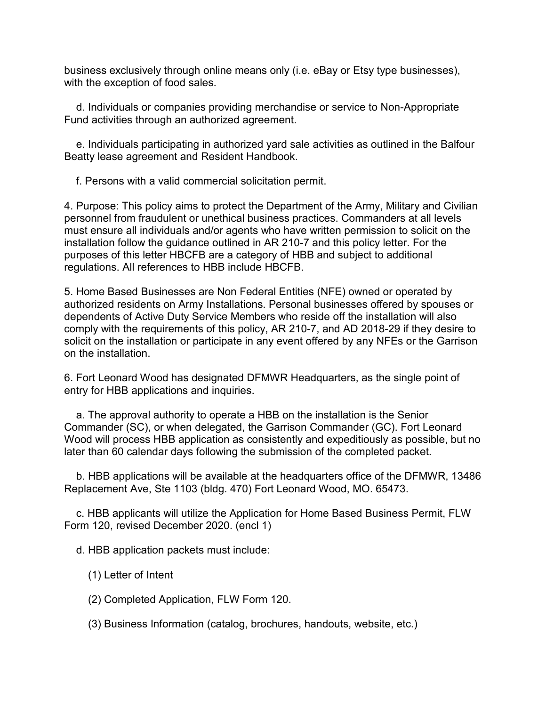business exclusively through online means only (i.e. eBay or Etsy type businesses), with the exception of food sales.

 d. Individuals or companies providing merchandise or service to Non-Appropriate Fund activities through an authorized agreement.

 e. Individuals participating in authorized yard sale activities as outlined in the Balfour Beatty lease agreement and Resident Handbook.

f. Persons with a valid commercial solicitation permit.

4. Purpose: This policy aims to protect the Department of the Army, Military and Civilian personnel from fraudulent or unethical business practices. Commanders at all levels must ensure all individuals and/or agents who have written permission to solicit on the installation follow the guidance outlined in AR 210-7 and this policy letter. For the purposes of this letter HBCFB are a category of HBB and subject to additional regulations. All references to HBB include HBCFB.

5. Home Based Businesses are Non Federal Entities (NFE) owned or operated by authorized residents on Army Installations. Personal businesses offered by spouses or dependents of Active Duty Service Members who reside off the installation will also comply with the requirements of this policy, AR 210-7, and AD 2018-29 if they desire to solicit on the installation or participate in any event offered by any NFEs or the Garrison on the installation.

6. Fort Leonard Wood has designated DFMWR Headquarters, as the single point of entry for HBB applications and inquiries.

 a. The approval authority to operate a HBB on the installation is the Senior Commander (SC), or when delegated, the Garrison Commander (GC). Fort Leonard Wood will process HBB application as consistently and expeditiously as possible, but no later than 60 calendar days following the submission of the completed packet.

 b. HBB applications will be available at the headquarters office of the DFMWR, 13486 Replacement Ave, Ste 1103 (bldg. 470) Fort Leonard Wood, MO. 65473.

 c. HBB applicants will utilize the Application for Home Based Business Permit, FLW Form 120, revised December 2020. (encl 1)

d. HBB application packets must include:

(1) Letter of Intent

(2) Completed Application, FLW Form 120.

(3) Business Information (catalog, brochures, handouts, website, etc.)